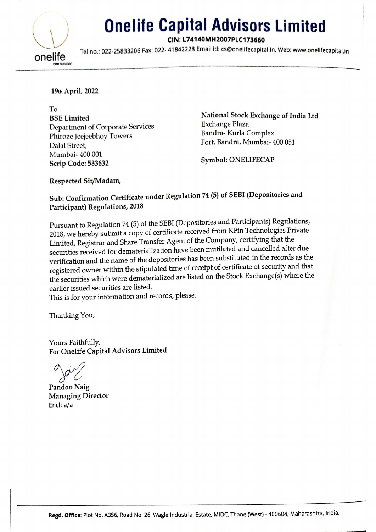

## | Onelife Capital Advisors Limited Advisors<br>IH2007PLC173660<br>I ld: cs@onelifecapital.in

CIN: L74140MH2007PLC173660

Tel no.: 022-25833206 Fax: 022-41842228 Email id: cs@onelifecapital.in, Web: www.onelifecapital.in

19th April, 2022

To<br>BSE Limited National Stock Exchange of India Ltd Department of Corporate Services<br>
Phirozo Jogjephov Towers<br>
Phirozo Jogjephov Towers<br>
Exchange Plaza<br>
Bandra- Kurla Complex Phiroze Jeejeebhoy Towers Palal Street, Fort, Bandra, Mumbai- 400 051 Mumbai- 400 001 Symbol: ONELIFECAP<br>Scrip Code: 533632

Respected Sir/Madam,

## Sub: Confirmation Certificate under Regulation 74 (5) of SEBI (Depositories and Participant) Regulations, 2018

Pursuant to Regulation 74 (5) of the SEBI (Depositories and Participants) Regulations, 2018, we hereby submit a copy of certificate received from KFin Technologies Private Limited, Registrar and Share Transfer Agent of the Company, certifying that the securities received for dematerialization have been mutilated and cancelled after due verification and the name of the depositories has been substituted in the records as the registered owner within the stipulated time of receipt of certificate of security and that the securities which were dematerialized are listed on the Stock Exchange(s) where the earlier issued securities are listed. Respected Sir/Madam,<br>
Sub: Confirmation Certificate under Regu<br>
Participant) Regulations, 2018<br>
Pursuant to Regulation 74 (5) of the SEBI (D<br>
2018, we hereby submit a copy of certificate<br>
Limited, Registrar and Share Tran

This is for your information and records, please.

Thanking You,

Yours Faithfully, For Onelife Capital Advisors Limited

Pandoo Naig Managing Director Encl: a/a

= i alla construction